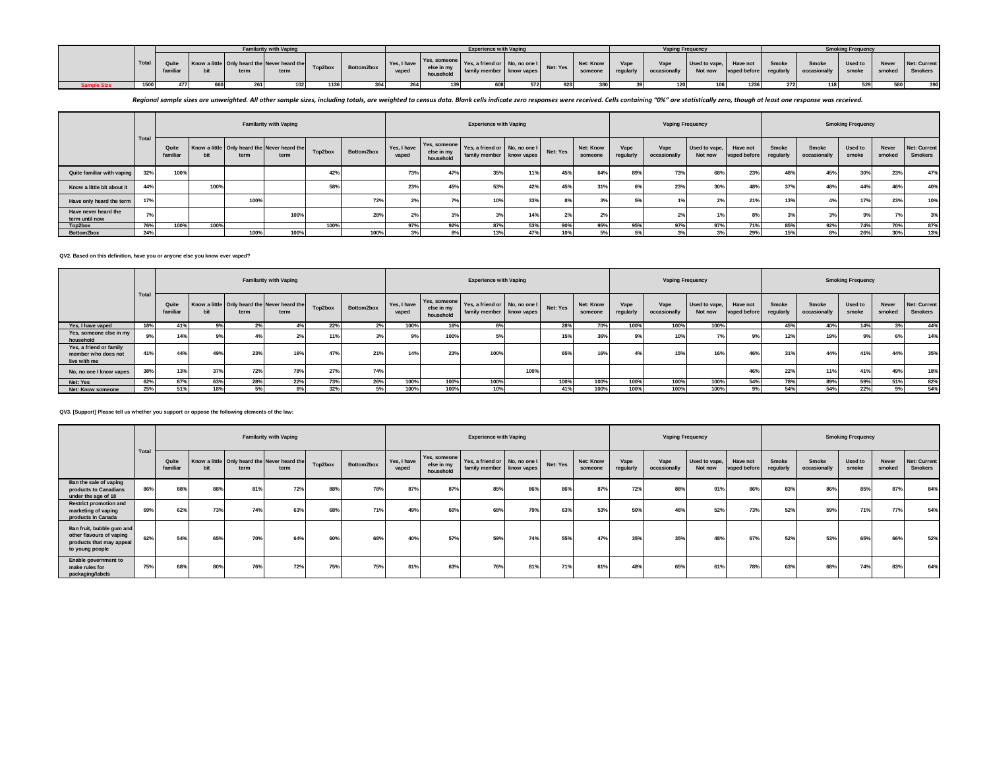|            |       |                   |     |      | <b>Familarity with Vaping</b>                        |         |            |       |                         | <b>Experience with Vaping</b>                             |     |          |                      |                   | Vaping Frequency        |                        |      |       |                                                      | Smoking Frequency |            |                                      |
|------------|-------|-------------------|-----|------|------------------------------------------------------|---------|------------|-------|-------------------------|-----------------------------------------------------------|-----|----------|----------------------|-------------------|-------------------------|------------------------|------|-------|------------------------------------------------------|-------------------|------------|--------------------------------------|
|            | Total | Quite<br>familiar |     | term | Know a little Only heard the Never heard the<br>term | Top2box | Bottom2box | vaped | else in my<br>household | Ves, a friend or No, no one I<br>family member know vapes |     | Net: Yes | Net: Know<br>someone | Vane<br>regularly | $V$ ape<br>occasionally | Used to vape, Have not |      | Smoke | Smoke<br>Not now vaped before regularly occasionally | Used to           | Never      | Net: Current<br>smoke smoked Smokers |
| ımple Size | 15001 |                   | 660 |      |                                                      | 1136    | 20         |       |                         | 608                                                       | 572 |          | 200                  |                   |                         | 106                    | 1236 | 272   | 118                                                  |                   | <b>COO</b> | 390                                  |

Regional sample sizes are unweighted. All other sample sizes, including totals, are weighted to census data. Blank cells indicate zero responses were received. Cells containing "0%" are statistically zero, though at least

|                                        |       |                   |      |      | <b>Familarity with Vaping</b>                        |         |            |                      |                                         | <b>Experience with Vaping</b>                             |     |          |                      |                   | <b>Vaping Frequency</b> |                          |                          |                    |                       | <b>Smoking Frequency</b> |                 |                                |
|----------------------------------------|-------|-------------------|------|------|------------------------------------------------------|---------|------------|----------------------|-----------------------------------------|-----------------------------------------------------------|-----|----------|----------------------|-------------------|-------------------------|--------------------------|--------------------------|--------------------|-----------------------|--------------------------|-----------------|--------------------------------|
|                                        | Tota. | Quite<br>familiar | bit  | term | Know a little Only heard the Never heard the<br>term | Top2box | Bottom2box | Yes, I have<br>vaped | Yes, someone<br>else in my<br>household | Yes, a friend or No, no one I<br>family member know vapes |     | Net: Yes | Net: Know<br>someone | Vape<br>regularly | Vape<br>occasionally    | Used to vape,<br>Not now | Have not<br>vaped before | Smoke<br>regularly | Smoke<br>occasionally | Used to<br>smoke         | Never<br>smoked | Net: Current<br><b>Smokers</b> |
| Quite familiar with vaping             | 32%   | 100%              |      |      |                                                      | 42%     |            | 73%                  | 47%                                     | 35%                                                       | 11% | 45%      | 64%                  | 89%               | 73%                     | 689                      | 23%                      | 48%                | 45%                   | 30%                      | 23%             | 47%                            |
| Know a little bit about it             | 44%   |                   | 100% |      |                                                      | 58%     |            | 23%                  | 45%                                     | 53%                                                       | 42% | 45%      | 31%                  |                   | 23%                     |                          | 48%                      | 37%                | 48%                   | 44%                      |                 | 40%                            |
| Have only heard the term               |       |                   |      | 100% |                                                      |         | 72%        |                      |                                         | 10%                                                       | 33% | 8%       | 3%                   | 5%                | 1%                      |                          | 21%                      | 13%                | 4%                    | 17%                      | 23%             | 10%                            |
| Have never heard the<br>term until now |       |                   |      |      | 100%                                                 |         | 28%        |                      |                                         | 3%                                                        | 14% | 2%       | 2%                   |                   | 2%                      |                          |                          | 20 <sub>1</sub>    | 3%                    |                          |                 | 3%                             |
| Top2box                                | 76%   | 100%              | 100% |      |                                                      | 100%    |            | 97%                  | 92%                                     | 87%                                                       | 53% | 90%      | 95%                  | 95%               | 97%                     | 97%                      | 71%                      | 85%                | 92%                   | 74%                      | 70%             | 87%                            |
| Bottom2box                             | 24%   |                   |      | 100% | 100%                                                 |         | 100%       | 3%                   | 8%                                      | 13%                                                       | 47% | 10%      | 5%                   | 5%                |                         |                          | 29%                      | 15%                | 8%                    | 26%                      | 30%             | 13%                            |

**QV2. Based on this definition, have you or anyone else you know ever vaped?**

|                                                                |       |                   |     |                                                      | <b>Familarity with Vaping</b> |         |            |                      |                                         | <b>Experience with Vaping</b>                             |      |          |                      |                   | <b>Vaping Frequency</b> |                          |                          |                    |                       | <b>Smoking Frequency</b> |                        |                                       |
|----------------------------------------------------------------|-------|-------------------|-----|------------------------------------------------------|-------------------------------|---------|------------|----------------------|-----------------------------------------|-----------------------------------------------------------|------|----------|----------------------|-------------------|-------------------------|--------------------------|--------------------------|--------------------|-----------------------|--------------------------|------------------------|---------------------------------------|
|                                                                | Total | Quite<br>familiar |     | Know a little Only heard the Never heard the<br>term | term                          | Top2box | Bottom2box | Yes, I have<br>vaped | Yes, someone<br>else in my<br>household | Yes, a friend or No, no one I<br>family member know vapes |      | Net: Yes | Net: Know<br>someone | Vape<br>regularly | Vape<br>occasionally    | Used to vape.<br>Not now | Have not<br>vaped before | Smoke<br>regularly | Smoke<br>occasionally | Used to<br>smoke         | <b>Never</b><br>smoked | <b>Net: Current</b><br><b>Smokers</b> |
| Yes, I have vaped                                              |       | 41%               | 9%  | 2%                                                   |                               | 22%     |            | 100%                 | 16%                                     | 6%                                                        |      | 28%      | 70%                  | 100%              | 100%                    | 100%                     |                          | 45%                | 40%                   | 14%                      | 3%                     | 44%                                   |
| Yes, someone else in my<br>household                           | 9%    | 14%               |     |                                                      |                               |         |            | 9%                   | 100%                                    | 5%                                                        |      | 15%      | 36%                  |                   | 10%                     | 70/                      |                          | 12%                | 19%                   | 9%                       | 6%                     | 14%                                   |
| Yes, a friend or family<br>member who does not<br>live with me |       | 44%               | 49% | 23%                                                  | 16%                           | 47%     | 21%        | 14%                  | 23%                                     | 100%                                                      |      | 65%      | 16%                  |                   | 15%                     | 16%                      | 46%                      | 31%                | 44%                   | 41%                      | 44%                    | 35%                                   |
| No, no one I know vapes                                        | 38%   | 13%               | 37% | 72%                                                  | 78%                           | 27%     | 74%        |                      |                                         |                                                           | 100% |          |                      |                   |                         |                          | 46%                      | 22%                | 11%                   | 41%                      | 49%                    | 18%                                   |
| Net: Yes                                                       | 62%   | 87%               | 63% | 28%                                                  | 22%                           | 73%     | 26%        | 100%                 | 100%                                    | 100%                                                      |      | 100%     | 100%                 | 100%              | 100%                    | 100%                     | 54%                      | 78%                | 89%                   | 59%                      | 51%                    | 82%                                   |
| Net: Know someone                                              | 25%   | 51%               | 18% |                                                      |                               | 32%     | .5%        | 100%                 | 100%                                    | 10%                                                       |      | 41%      | 100%                 | 100%              | 100%                    | 100%                     |                          | 54%                | 54%                   | 22%                      | 9%                     | 54%                                   |

**QV3. [Support] Please tell us whether you support or oppose the following elements of the law:**

|                                                                                                      |       |                   |     |      | <b>Familarity with Vaping</b>                        |         |            |                      |                                         | <b>Experience with Vaping</b>                             |     |          |                      |                   | <b>Vaping Frequency</b> |                          |                          |                    |                       | <b>Smoking Frequency</b> |                 |                                       |
|------------------------------------------------------------------------------------------------------|-------|-------------------|-----|------|------------------------------------------------------|---------|------------|----------------------|-----------------------------------------|-----------------------------------------------------------|-----|----------|----------------------|-------------------|-------------------------|--------------------------|--------------------------|--------------------|-----------------------|--------------------------|-----------------|---------------------------------------|
|                                                                                                      | Total | Quite<br>familiar |     | term | Know a little Only heard the Never heard the<br>term | Top2box | Bottom2box | Yes, I have<br>vaped | Yes, someone<br>else in my<br>household | Yes, a friend or No, no one I<br>family member know vapes |     | Net: Yes | Net: Know<br>someone | Vape<br>regularly | Vape<br>occasionally    | Used to vape,<br>Not now | Have not<br>vaped before | Smoke<br>regularly | Smoke<br>occasionally | Used to<br>smoke         | Never<br>smoked | <b>Net: Current</b><br><b>Smokers</b> |
| Ban the sale of vaping<br>products to Canadians<br>under the age of 18                               | 86%   | 88%               | 88% | 81%  | 72%                                                  | 88%     | 78%        | 87%                  | 87%                                     | 85%                                                       | 86% | 86%      | 87%                  | 72%               | 88%                     | 91%                      | 86%                      | 83%                | 86%                   | 85%                      | 87%             | 84%                                   |
| <b>Restrict promotion and</b><br>marketing of vaping<br>products in Canada                           | 69%   | 62%               | 73% | 74%  | 63%                                                  | 68%     | 71%        | 49%                  | 60%                                     | 68%                                                       | 79% | 63%      | 53%                  | 50%               | 46%                     | 52%                      | 73%                      | 52%                | 59%                   | 71%                      | 77%             | 54%                                   |
| Ban fruit, bubble gum and<br>other flavours of vaping<br>products that may appeal<br>to young people | 62%   | 54%               | 65% | 70%  | 64%                                                  | 60%     | 68%        | 40%                  | 57%                                     | 59%                                                       | 74% | 55%      | 47%                  | 35%               | 35%                     | 48%                      | 67%                      | 52%                | 53%                   | 65%                      | 66%             | 52%                                   |
| Enable government to<br>make rules for<br>packaging/labels                                           | 75%   | 68%               | 80% | 76%  | 72%                                                  | 75%     | 75%        | 61%                  | 63%                                     | 76%                                                       | 81% | 71%      | 61%                  | 48%               | 65%                     | 61%                      | 78%                      | 63%                | 68%                   | 74%                      | 83%             | 64%                                   |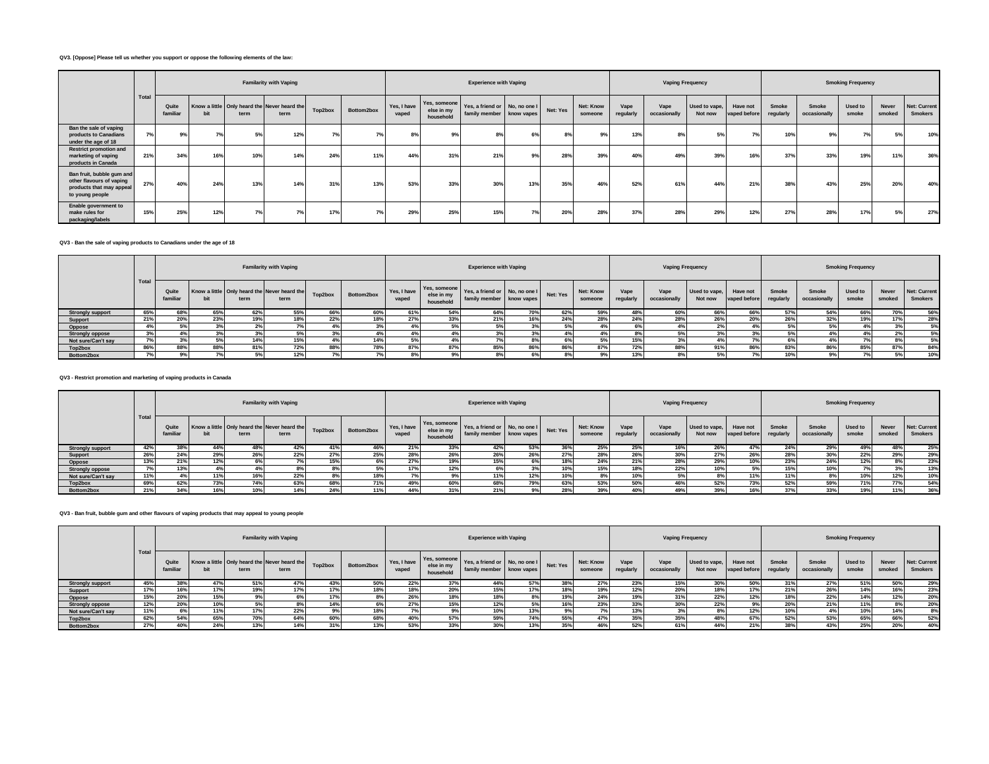### **QV3. [Oppose] Please tell us whether you support or oppose the following elements of the law:**

|                                                                                                      |       |                   |     |      | <b>Familarity with Vaping</b>                        |         |            |                      |                                         | <b>Experience with Vaping</b>                                        |     |     |                             |                   | <b>Vaping Frequency</b> |                          |                          |                    |                       | <b>Smoking Frequency</b> |                        |                                       |
|------------------------------------------------------------------------------------------------------|-------|-------------------|-----|------|------------------------------------------------------|---------|------------|----------------------|-----------------------------------------|----------------------------------------------------------------------|-----|-----|-----------------------------|-------------------|-------------------------|--------------------------|--------------------------|--------------------|-----------------------|--------------------------|------------------------|---------------------------------------|
|                                                                                                      | Total | Quite<br>familiar |     | term | Know a little Only heard the Never heard the<br>term | Top2box | Bottom2box | Yes, I have<br>vaped | Yes, someone<br>else in my<br>household | Yes, a friend or No, no one I Net: Yes<br>family member   know vapes |     |     | <b>Net: Know</b><br>someone | Vape<br>regularly | Vape<br>occasionally    | Used to vape,<br>Not now | Have not<br>vaped before | Smoke<br>regularly | Smoke<br>occasionally | Used to<br>smoke         | <b>Never</b><br>smoked | <b>Net: Current</b><br><b>Smokers</b> |
| Ban the sale of vaping<br>products to Canadians<br>under the age of 18                               | 7%    | 9%                | 7%  | 5%   | 12%                                                  |         | 7%         | 8%                   | 9%                                      | 8%                                                                   | 6%  | 8%  | 9%                          | 13%               | 8%                      | 5%                       | 7%                       | 10%                | 9%                    | 7%                       | 5%                     | 10%                                   |
| <b>Restrict promotion and</b><br>marketing of vaping<br>products in Canada                           | 21%   | 34%               | 16% | 10%  | 14%                                                  | 24%     | 11%        | 44%                  | 31%                                     | 21%                                                                  | 9%  | 28% | 39%                         | 40%               | 49%                     | 39%                      | 16%                      | 37%                | 33%                   | 19%                      | 11%                    | 36%                                   |
| Ban fruit, bubble gum and<br>other flavours of vaping<br>products that may appeal<br>to young people | 27%   | 40%               | 24% | 13%  | 14%                                                  | 31%     | 13%        | 53%                  | 33%                                     | 30%                                                                  | 13% | 35% | 46%                         | 52%               | 61%                     | 44%                      | 21%                      | 38%                | 43%                   | 25%                      | 20%                    | 40%                                   |
| Enable government to<br>make rules for<br>packaging/labels                                           | 15%   | 25%               | 12% |      |                                                      | 17%     | 7%         | 29%                  | 25%                                     | 15%                                                                  | 7%  | 20% | 28%                         | 37%               | 28%                     | 29%                      | 12%                      | 27%                | 28%                   | 17%                      | 5%                     | 27%                                   |

**QV3 - Ban the sale of vaping products to Canadians under the age of 18**

|                         |       |                   |     |      | <b>Familarity with Vaping</b>                        |         |            |                      |                                         | <b>Experience with Vaping</b>                               |     |          |                             |                  | Vaping Frequency     |                          |                          |                    |                       | <b>Smoking Frequency</b> |                 |                                       |
|-------------------------|-------|-------------------|-----|------|------------------------------------------------------|---------|------------|----------------------|-----------------------------------------|-------------------------------------------------------------|-----|----------|-----------------------------|------------------|----------------------|--------------------------|--------------------------|--------------------|-----------------------|--------------------------|-----------------|---------------------------------------|
|                         | Total | Quite<br>familiar |     | term | Know a little Only heard the Never heard the<br>term | Top2box | Bottom2box | Yes, I have<br>vaped | Yes, someone<br>else in my<br>household | Yes, a friend or No, no one I<br>family member   know vapes |     | Net: Yes | <b>Net: Know</b><br>someone | Vape<br>regulari | Vape<br>occasionally | Used to vape,<br>Not now | Have not<br>vaped before | Smoke<br>regularly | Smoke<br>occasionally | Used to<br>smoke         | Never<br>smoked | <b>Net: Current</b><br><b>Smokers</b> |
| <b>Strongly support</b> | 65%   | 68%               | 65% | 62%  | 55%                                                  | 66%     | 60%        | 61%                  | 54%                                     | 64%                                                         | 70% | 62%      | 59%                         | 48%              | 60%                  | 66%                      | 66%                      | 57%                | 54%                   | 66%                      | 70%             | 56%                                   |
| Support                 | 21%   | 20%               | 23% | 19%  | 18%                                                  | 22%     |            | 27%                  | 33%                                     | 21%                                                         | 16% | 24%      | 28%                         | 24%              | 28%                  | 26%                      | 20%                      | 26%                | 32%                   | 19%                      | 17%             | 28%                                   |
| Oppose                  | $4\%$ |                   |     | z    |                                                      | 4%      |            |                      | 5%                                      |                                                             |     |          |                             | 6%               |                      |                          | $4\%$                    | 5%                 | 5%                    |                          |                 | 5%                                    |
| <b>Strongly oppose</b>  | 3%    |                   |     |      |                                                      | 3%      |            |                      |                                         |                                                             |     |          |                             | $8\%$            |                      |                          |                          | 5%                 |                       |                          |                 | 5%                                    |
| Not sure/Can't say      | 7%    |                   |     | 14%  | 15%                                                  | 4%      | 14%        |                      |                                         |                                                             | 8%  |          | 50/                         | 15%              |                      |                          |                          | 6%                 |                       |                          |                 | 5%                                    |
| Top2box                 | 86%   | 88%               | 88% | 81%  | 72%                                                  | 88%     | 78%        | 87%                  | 87%                                     | 85%                                                         | 86% | 86%      | 87%                         | 72%              | 88%                  | 91%                      | 86%                      | 83%                | 86%                   | 85%                      | 87%             | 84%                                   |
| Bottom2box              |       |                   |     |      | 12%                                                  |         |            |                      |                                         |                                                             | 6%  |          |                             | 13%              |                      |                          |                          | 10%                | 9%                    |                          |                 | 10%                                   |

**QV3 - Restrict promotion and marketing of vaping products in Canada**

|                         |       |                   |     |      | <b>Familarity with Vaping</b>                        |         |            |                      |                                         | <b>Experience with Vaping</b>                             |            |          |                      |                   | <b>Vaping Frequency</b> |                          |                          |                    |                       | <b>Smoking Frequency</b> |                        |                                       |
|-------------------------|-------|-------------------|-----|------|------------------------------------------------------|---------|------------|----------------------|-----------------------------------------|-----------------------------------------------------------|------------|----------|----------------------|-------------------|-------------------------|--------------------------|--------------------------|--------------------|-----------------------|--------------------------|------------------------|---------------------------------------|
|                         | Total | Quite<br>familiar |     | term | Know a little Only heard the Never heard the<br>term | Top2box | Bottom2box | Yes, I have<br>vaped | Yes, someone<br>else in my<br>household | Yes, a friend or No, no one I<br>family member know vapes |            | Net: Yes | Net: Know<br>someone | Vape<br>regularly | Vape<br>occasionally    | Used to vape.<br>Not now | Have not<br>vaped before | Smoke<br>regularly | Smoke<br>occasionally | Used to<br>smoke         | <b>Never</b><br>smoked | <b>Net: Current</b><br><b>Smokers</b> |
| <b>Strongly support</b> | 42%   | 38%               |     | 48%  | 42%                                                  |         | 46%        | 21%                  | 33%                                     | 42%                                                       | 53%        | 36%      | 25%                  | 25%               | 16%                     | 26%                      |                          | 24%                | 29%                   | 49%                      |                        | 25%                                   |
| Support                 | 26%   | 24%               | 29% | 26%  | 22%                                                  |         | 25%        | 28%                  | 26%                                     | 26%                                                       | <b>26%</b> | 27%      | 28%                  | 26%               | 30%                     | 27%                      | 26%                      | 28%                | 30%                   | 22%                      |                        | 29%                                   |
| Oppose                  | 13%   | 21%               | 12% | 6%   |                                                      | 15%     | 6%         | 27%                  | 19%                                     | 15%                                                       | 6%         | 18%      | 24%                  | 21%               | 28%                     | 29%                      | 10%                      | 23%                | 24%                   | 12%                      | 8%                     | 23%                                   |
| <b>Strongly oppose</b>  | 7%    | 13%               |     |      |                                                      |         |            | 17%                  | 12%                                     |                                                           |            | 10%      | 15%                  | 18%               | 22%                     | 10%                      | 5%                       | 15%                | 10%                   |                          |                        | 13%                                   |
| Not sure/Can't say      | 11%   | 4%                | 11% | 16%  | 22%                                                  | $8\%$   | 18%        | 7%                   | 9%                                      | 11%                                                       | 12%        | 10%      | 8%                   | 10%               | <b>J70</b>              | 8%                       | 11%                      | 11%                | 8%                    | 10%                      | 12%                    | 10%                                   |
| Top2box                 | 69%   | 62%               | 73% | 74%  | 63%                                                  | 68%     | 71%        | 49%                  | 60%                                     | 68%                                                       | 79%        | 63%      | 53%                  | 50%               | 46%                     | 52%                      | 73%                      | 52%                | 59%                   | 71%                      | <b>77%</b>             | 54%                                   |
| Bottom2box              | 21%   | 34%               | 16% | 10%  | 14%                                                  | 24%     | 11%        | 44%                  |                                         | 21%                                                       | 9%         | 28%      | 39%                  | 40%               | 49%                     | 39%                      | 16%                      | 37%                | 33%                   | 19%                      |                        | 36%                                   |

# **QV3 - Ban fruit, bubble gum and other flavours of vaping products that may appeal to young people**

|                         |       |                   |     |      | <b>Familarity with Vaping</b>                        |         |            |                      |                                         | <b>Experience with Vaping</b>                             |     |          |                      |                   | <b>Vaping Frequency</b> |                          |                          |                           |                       | <b>Smoking Frequency</b> |                 |                                |
|-------------------------|-------|-------------------|-----|------|------------------------------------------------------|---------|------------|----------------------|-----------------------------------------|-----------------------------------------------------------|-----|----------|----------------------|-------------------|-------------------------|--------------------------|--------------------------|---------------------------|-----------------------|--------------------------|-----------------|--------------------------------|
|                         | Tota. | Quite<br>familiar |     | term | Know a little Only heard the Never heard the<br>term | Top2box | Bottom2box | Yes, I have<br>vaped | Yes, someone<br>else in my<br>household | Yes, a friend or No, no one I<br>family member know vapes |     | Net: Yes | Net: Know<br>someone | Vape<br>regularly | Vape<br>occasionally    | Used to vape.<br>Not now | Have not<br>vaped before | <b>Smoke</b><br>regularly | Smoke<br>occasionally | Used to<br>smoke         | Never<br>smoked | Net: Current<br><b>Smokers</b> |
| <b>Strongly support</b> | 45%   | 38%               | 47% | 51%  | 47%                                                  | 43%     | 50%        | 22%                  | 37%                                     | 44%                                                       | 57% | 38%      | 27%                  | 23%               | 15%                     | 30%                      | 50%                      | 31%                       | 27%                   | 51%                      | 50%             | 29%                            |
| Support                 |       | 16%               | 17% | 19%  |                                                      |         | 18%        | 18%                  | 20%                                     | 15%                                                       | 17% | 18%      | 19%                  | 12%               | 20%                     | 18%                      | 17%                      | 21%                       | 26%                   | 14%                      | 16%             | 23%                            |
| Oppose                  |       | 20%               | 15% | 9%   |                                                      |         |            | 26%                  | 18%                                     | 18%                                                       |     | 19%      | 24%                  | 19%               | 31%                     | 22%                      | 12%                      | 18%                       | 22%                   | 14%                      | 12%             | 20%                            |
| <b>Strongly oppose</b>  | 12%   | 20%               | 10% |      |                                                      | 14%     |            | 27%                  | 15%                                     | 12%                                                       | .5% | 16%      | 23%                  | 33%               | 30%                     | 22%                      | 9%                       | 20%                       | 21%                   | 11%                      | 8%              | 20%                            |
| Not sure/Can't say      |       |                   | 11% | 17%  | 22%                                                  |         | 18%        |                      |                                         | 10%                                                       | 13% | 9%       |                      | 13%               |                         | 8%                       | 12%                      | 10%                       |                       | 10%                      | 14%             | 8%                             |
| Top2box                 | 62%   | 54%               | 65% | 70%  | 64%                                                  | 60%     | 68%        | 40%                  | 57%                                     | 59%                                                       | 74% | 55%      | 47%                  | 35%               | 35%                     | 48%                      | 67%                      | 52%                       | 53%                   | 65%                      | 66%             | 52%                            |
| Bottom2box              | 27%   | 40%               | 24% | 13%  | 14%                                                  |         | 13%        | 53%                  | 33%                                     | 30%                                                       | 13% | 35%      | 46%                  | 52%               |                         | 44%                      | 21%                      | 38%                       | 43%                   | 25%                      | 20%             | 40%                            |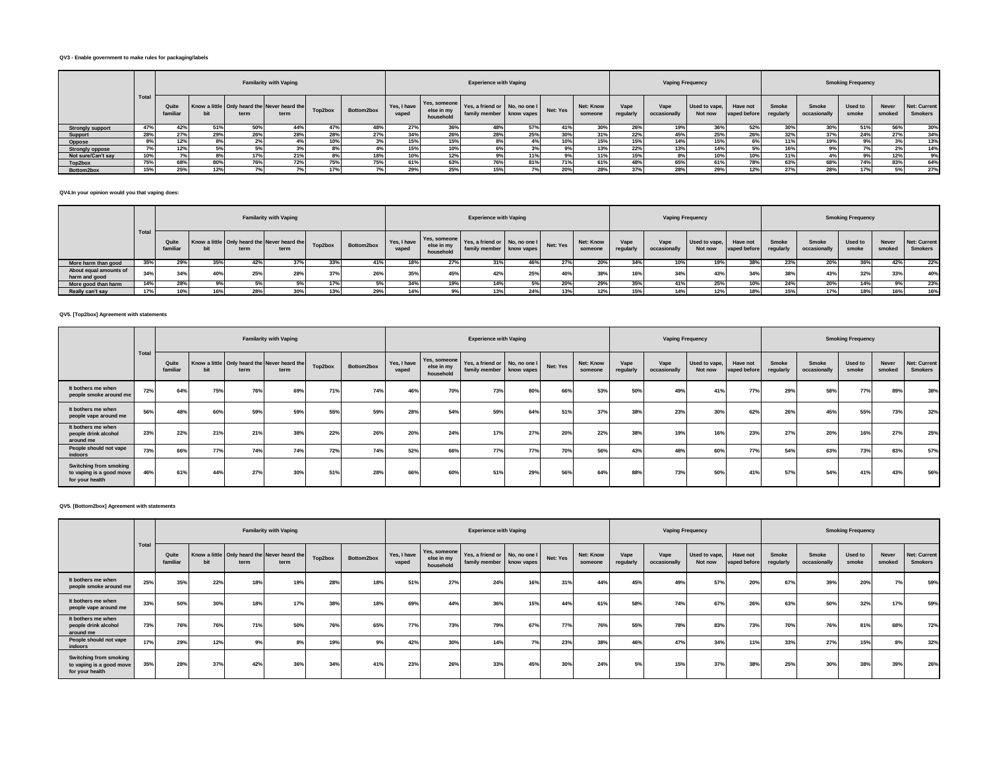### **QV3 - Enable government to make rules for packaging/labels**

|                         |           |                   |     |      | <b>Familarity with Vaping</b>                        |         |            |       |                                                     | <b>Experience with Vaping</b>                             |     |          |                      |                   | <b>Vaping Frequency</b> |                          |                          |                    |                       | <b>Smoking Frequency</b> |                        |                                       |
|-------------------------|-----------|-------------------|-----|------|------------------------------------------------------|---------|------------|-------|-----------------------------------------------------|-----------------------------------------------------------|-----|----------|----------------------|-------------------|-------------------------|--------------------------|--------------------------|--------------------|-----------------------|--------------------------|------------------------|---------------------------------------|
|                         | Total     | Quite<br>familiar |     | term | Know a little Only heard the Never heard the<br>term | Top2box | Bottom2box | vaped | Yes, I have Yes, someone<br>else in my<br>household | Yes, a friend or No, no one I<br>family member know vapes |     | Net: Yes | Net: Know<br>someone | Vape<br>regularly | Vape<br>occasionally    | Used to vape,<br>Not now | Have not<br>vaped before | Smoke<br>regularly | Smoke<br>occasionally | Used to<br>smoke         | <b>Never</b><br>smoked | <b>Net: Current</b><br><b>Smokers</b> |
| <b>Strongly support</b> | 47%       | 42%               | 51% | 50%  | 44%                                                  | 47%     | 48%        | 27%   | 36%                                                 | 48%                                                       | 57% | 41%      | 30%                  | 26%               | 19%                     | 36%                      | 52%                      | 30%                | 30%                   | 51%                      | 56%                    | 30%                                   |
| Support                 | 28%       | 27%               | 29% | 26%  | 28%                                                  | 28%     | 27%        | 34%   | 26%                                                 | 28%                                                       | 25% | 30%      | 31%                  | 22%               | 45%                     | 25%                      | 26%                      | 32%                | 37%                   | 24%                      | 27 <sup>o</sup>        | 34%                                   |
| Oppose                  | $R^{o}/a$ | 12%               |     | 2%   |                                                      | 10%     |            | 15%   | 15%                                                 |                                                           | 4%  | 10%      | 15%                  | 15%               | 14%                     | 15%                      | 6%                       | 11%                | 19%                   |                          |                        | 13%                                   |
| <b>Strongly oppose</b>  |           | 12%               | 5%  |      |                                                      |         |            | 15%   | 10%                                                 |                                                           |     | 9%       | 13%                  | 22%               | 13%                     | 14%                      | 5%                       | 16%                |                       |                          |                        | 14%                                   |
| Not sure/Can't say      |           |                   |     |      | 21%                                                  |         | 18%        | 10%   | 12%                                                 |                                                           | 11% | 9%       | 11%                  | 15%               |                         |                          | 10%                      | 449/               |                       |                          |                        | 9%                                    |
| Top2box                 | 75%       | 68%               |     | 76%  | 72%                                                  | 75%     | 75%        | 61%   | 63%                                                 | 76%                                                       | 81% | 71%      | 61%                  | 48%               | 65%                     | 61%                      | 78%                      | 63%                | 68%                   | 74%                      | 83%                    | 64%                                   |
| Bottom2box              |           | 25%               | 12% |      |                                                      |         |            | 29%   | 25%                                                 | 15%                                                       |     | 20%      | 28%                  |                   | 28%                     | 29%                      | 1470                     | 27%                | 28%                   | 17%                      |                        | 27%                                   |

**QV4.In your opinion would you that vaping does:**

|                                         |              |                   |     |      | <b>Familarity with Vaping</b>                        |              |            |                      |                         | <b>Experience with Vaping</b>                                          |     |          |                      |                   | <b>Vaping Frequency</b> |                          |                          |                    |                       | <b>Smoking Frequency</b> |                 |                                |
|-----------------------------------------|--------------|-------------------|-----|------|------------------------------------------------------|--------------|------------|----------------------|-------------------------|------------------------------------------------------------------------|-----|----------|----------------------|-------------------|-------------------------|--------------------------|--------------------------|--------------------|-----------------------|--------------------------|-----------------|--------------------------------|
|                                         | <b>Total</b> | Quite<br>familiar |     | term | Know a little Only heard the Never heard the<br>term | Top2box      | Bottom2box | Yes, I have<br>vaped | else in my<br>household | Yes, someone Yes, a friend or No, no one I<br>family member know vapes |     | Net: Yes | Net: Know<br>someone | Vape<br>regularly | Vape<br>occasionally    | Used to vape.<br>Not now | Have not<br>vaped before | Smoke<br>regularly | Smoke<br>occasionally | Used to<br>smoke         | Never<br>smoked | Net: Current<br><b>Smokers</b> |
| More harm than good                     | 35%          | 29%               | 35% | 42%  |                                                      | nnor<br>-337 | 41%        |                      | 2701                    |                                                                        | 46% | 27%      | 20%                  | 34%               | 10%                     | 19%                      |                          | 23%                | <b>207</b>            | JU /                     | 42%             | 22%                            |
| About equal amounts of<br>harm and good | 34%          | 34%               | 40% | 25%  | 28%                                                  | 270/         | 26%        | 35%                  | 45%                     | 42%                                                                    | 25% | 40%      | 38%                  | 16%               | 34%                     | 43%                      | 34%                      | 38%                | 43%                   | 32%                      | 33%             | 40%                            |
| More good than harm                     | 14%          | 28%               |     |      |                                                      | 17%          |            | 34%                  | 19%                     |                                                                        |     | 20%      | 29%                  | 35%               | 41%                     | 25%                      | 10%                      | 24%                | 20%                   | 14%                      | 9%              | 23%                            |
| Really can't say                        |              |                   | 16% | 28%  | 30%                                                  | 13%          | 29%        | 14%                  |                         | 13%                                                                    | 24% | 13%      | 12%                  | 15%               | 14%                     | 12%                      | 18%                      | 15%                | 17%                   | 18%                      | 16%             | 16%                            |

**QV5. [Top2box] Agreement with statements**

|                                                                       |       |                   |     |      | <b>Familarity with Vaping</b>                        |         |            |                      |                                         | <b>Experience with Vaping</b>                             |     |          |                      |                   | <b>Vaping Frequency</b> |                          |                          |                    |                       | <b>Smoking Frequency</b> |                 |                                |
|-----------------------------------------------------------------------|-------|-------------------|-----|------|------------------------------------------------------|---------|------------|----------------------|-----------------------------------------|-----------------------------------------------------------|-----|----------|----------------------|-------------------|-------------------------|--------------------------|--------------------------|--------------------|-----------------------|--------------------------|-----------------|--------------------------------|
|                                                                       | Total | Quite<br>familiar | bit | term | Know a little Only heard the Never heard the<br>term | Top2box | Bottom2box | Yes, I have<br>vaped | Yes, someone<br>else in my<br>household | Yes, a friend or No, no one I<br>family member know vapes |     | Net: Yes | Net: Know<br>someone | Vape<br>regularly | Vape<br>occasionally    | Used to vape,<br>Not now | Have not<br>vaped before | Smoke<br>regularly | Smoke<br>occasionally | Used to<br>smoke         | Never<br>smoked | Net: Current<br><b>Smokers</b> |
| It bothers me when<br>people smoke around me                          | 72%   | 64%               | 75% | 76%  | 69%                                                  | 71%     | 74%        | 46%                  | 70%                                     | 73%                                                       | 80% | 66%      | 53%                  | 50%               | 49%                     | 419                      | 77%                      | 29%                | 58%                   | 77%                      | 89%             | 38%                            |
| It bothers me when<br>people vape around me                           | 56%   | 48%               | 60% | 59%  | 59%                                                  | 55%     | 59%        | 28%                  | 54%                                     | 59%                                                       | 64% | 51%      | 37%                  | 38%               | 23%                     | 30°                      | 62%                      | 26%                | 45%                   | 55%                      | 73%             | 32%                            |
| It bothers me when<br>people drink alcohol<br>around me               | 23%   | 22%               | 21% | 21%  | 38%                                                  | 22%     | 26%        | 20%                  | 24%                                     | 17%                                                       | 27% | 20%      | 22%                  | 38%               | 19%                     |                          | 23%                      | 27%                | 20%                   | 16%                      | <b>27%</b>      | 25%                            |
| People should not vape<br>indoors                                     | 73%   | 66%               | 77% | 74%  | 74%                                                  | 72%     | 74%        | 52%                  | 66%                                     | 77%                                                       | 77% | 70%      | 56%                  | 43%               | 48%                     | 60°                      | 77%                      | 54%                | 63%                   | 73%                      | 83%             | 57%                            |
| Switching from smoking<br>to vaping is a good move<br>for your health | 46%   | 61%               | 44% | 27%  | 30%                                                  | 51%     | 28%        | 66%                  | 60%                                     | 51%                                                       | 29% | 56%      | 64%                  | 88%               | 73%                     | 50%                      | 41%                      | 57%                | 54%                   | 41%                      | 43%             | 56%                            |

**QV5. [Bottom2box] Agreement with statements**

|                                                                       |       |                   |     |      | <b>Familarity with Vaping</b>                        |         |                            |                      |                                         | <b>Experience with Vaping</b>                             |     |          |                      |                   | <b>Vaping Frequency</b> |                          |                          |                    |                       | <b>Smoking Frequency</b> |                 |                                |
|-----------------------------------------------------------------------|-------|-------------------|-----|------|------------------------------------------------------|---------|----------------------------|----------------------|-----------------------------------------|-----------------------------------------------------------|-----|----------|----------------------|-------------------|-------------------------|--------------------------|--------------------------|--------------------|-----------------------|--------------------------|-----------------|--------------------------------|
|                                                                       | Total | Quite<br>familiar | bit | term | Know a little Only heard the Never heard the<br>term | Top2box | Bottom2box                 | Yes, I have<br>vaped | Yes, someone<br>else in my<br>household | Yes, a friend or No, no one I<br>family member know vapes |     | Net: Yes | Net: Know<br>someone | Vape<br>regularly | Vape<br>occasionally    | Used to vape,<br>Not now | Have not<br>vaped before | Smoke<br>regularly | Smoke<br>occasionally | Used to<br>smoke         | Never<br>smoked | Net: Current<br><b>Smokers</b> |
| It bothers me when<br>people smoke around me                          | 25%   | 35%               | 22% | 18%  | 19%                                                  | 28%     | 18%                        | 51%                  | 27%                                     | 24%                                                       | 16% | 31%      | 44%                  | 45%               | 49%                     | 57%                      | 20%                      | 67%                | 39%                   | 20%                      | 7%              | 59%                            |
| It bothers me when<br>people vape around me                           | 33%   | 50%               | 30% | 18%  | 17%                                                  | 38%     | 18%                        | 69%                  | 44%                                     | 36%                                                       | 15% | 44%      | 61%                  | 58%               | 74%                     | 67%                      | 26%                      | 63%                | 50%                   | 32%                      | 17%             | 59%                            |
| It bothers me when<br>people drink alcohol<br>around me               | 73%   | 76%               | 76% | 71%  | 50%                                                  | 76%     | 65%                        | 77%                  | 73%                                     | 79%                                                       | 67% | 77%      | 76%                  | 55%               | 78%                     | 83%                      | 73%                      | 70%                | 76%                   | 81%                      | 68%             | 72%                            |
| People should not vape<br>indoors                                     |       | 29%               | 12% |      |                                                      | 19%     | 0 <sup>0<sub>i</sub></sup> | 42%                  | 30%                                     | 14%                                                       | 7%  | 23%      | 38%                  | 46%               | 47%                     | 34%                      | 11%                      | 33%                | 27%                   | 15%                      | 8%              | 32%                            |
| Switching from smoking<br>to vaping is a good move<br>for your health | 35%   | 28%               | 37% | 42%  | 36%                                                  | 34%     | 41%                        | 23%                  | 26%                                     | 33%                                                       | 45% | 30%      | 24%                  | 53                | 15%                     | 37%                      | 38%                      | 25%                | 30%                   | 38%                      | 39%             | 26%                            |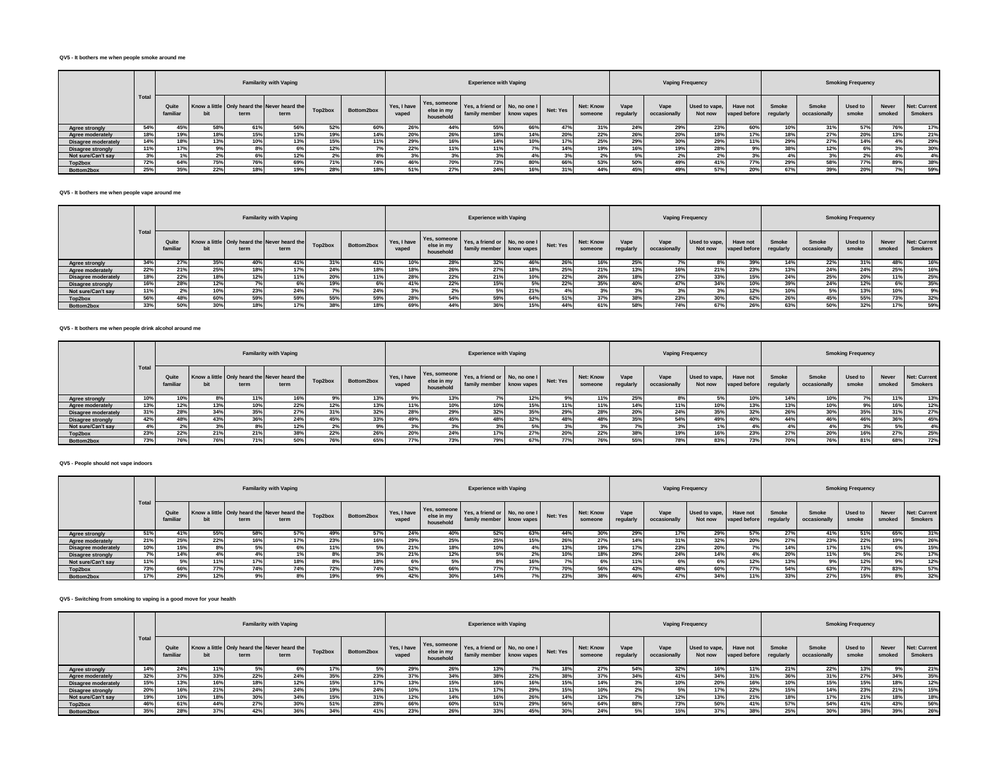### **QV5 - It bothers me when people smoke around me**

|                          |      |                   |     |      | <b>Familarity with Vaping</b>                        |         |            |                      |                                         | <b>Experience with Vaping</b>                             |     |          |                      |                  | <b>Vaping Frequency</b> |                          |                          |                    |                       | <b>Smoking Frequency</b> |                 |                                       |
|--------------------------|------|-------------------|-----|------|------------------------------------------------------|---------|------------|----------------------|-----------------------------------------|-----------------------------------------------------------|-----|----------|----------------------|------------------|-------------------------|--------------------------|--------------------------|--------------------|-----------------------|--------------------------|-----------------|---------------------------------------|
|                          | Tota | Quite<br>familiar |     | term | Know a little Only heard the Never heard the<br>term | Top2box | Bottom2box | Yes, I have<br>vaped | Yes, someone<br>else in my<br>household | Yes, a friend or No, no one I<br>family member know vapes |     | Net: Yes | Net: Know<br>someone | Vape<br>regularl | Vape<br>occasionally    | Used to vape,<br>Not now | Have not<br>vaped before | Smoke<br>regularly | Smoke<br>occasionally | Used to<br>smoke         | Never<br>smoked | <b>Net: Current</b><br><b>Smokers</b> |
| Agree strongly           | 54%  | 45%               | 58% | 61%  | 56%                                                  | 52%     | 60%        | 26%                  | 44%                                     | 55%                                                       | 66% | 47%      | 31%                  | 24%              | 29%                     | 23%                      | 60%                      | 10%                | 31%                   | 57%                      | 76%             | 17%                                   |
| Agree moderately         | 18%  | 19%               | 18% | 15%  | 13%                                                  | 19%     | 14%        | 20%                  | 26%                                     | 18%                                                       | 14% | 20%      | 22%                  | 26%              | 20%                     | 18%                      | 17%                      | 18%                | 27%                   | 20%                      | 13%             | 21%                                   |
| Disagree moderately      | 14%  | 18%               | 13% | 10%  | 13%                                                  | 15%     | 11%        | 29%                  | 16%                                     | 14%                                                       | 10% | 17%      | 25%                  | 29%              | 30%                     | 29%                      | 11%                      | 29%                | 27%                   | 14%                      |                 | 29%                                   |
| <b>Disagree strongly</b> |      | 17%               |     |      |                                                      | 12%     |            | 22%                  | 11%                                     | 11%                                                       |     | 14%      | 19%                  | 16%              | 19%                     | 28%                      |                          | 38%                | 12%                   | 6%                       |                 | 30%                                   |
| Not sure/Can't say       | 3%   |                   |     |      | 12%                                                  |         |            |                      |                                         |                                                           |     |          | 2%                   |                  |                         |                          |                          | 4%                 |                       | 2%                       |                 | 4%                                    |
| Top2box                  | 72%  | 64%               | 75% | 76%  | 69%                                                  | 71%     | 74%        | 46%                  | 70%                                     | 73%                                                       | 80% | 66%      | 53%                  | 50%              | 49%                     | 41%                      | <b>77%</b>               | 29%                | 58%                   | 77%                      | 89%             | 38%                                   |
| Bottom2box               | 25%  | 35%               | 22% | 18%  | 19%                                                  | 28%     |            | 51%                  | 27%                                     | 24%                                                       | 16% |          | 44%                  | 45%              | 49%                     | 57%                      | 20%                      | 67%                | 39%                   | 20%                      |                 | 59%                                   |

### **QV5 - It bothers me when people vape around me**

|                          |                    |                   |      |      | <b>Familarity with Vaping</b>                        |         |            |                      |                                         | <b>Experience with Vaping</b>                             |     |          |                             |                   | Vaping Frequency     |                          |                          |                    |                       | <b>Smoking Frequency</b> |                 |                                       |
|--------------------------|--------------------|-------------------|------|------|------------------------------------------------------|---------|------------|----------------------|-----------------------------------------|-----------------------------------------------------------|-----|----------|-----------------------------|-------------------|----------------------|--------------------------|--------------------------|--------------------|-----------------------|--------------------------|-----------------|---------------------------------------|
|                          | <sup>1</sup> Total | Quite<br>familiar |      | term | Know a little Only heard the Never heard the<br>term | Top2box | Bottom2box | Yes, I have<br>vaped | Yes, someone<br>else in my<br>household | Yes, a friend or No, no one I<br>family member know vapes |     | Net: Yes | <b>Net: Know</b><br>someone | Vape<br>regularly | Vape<br>occasionally | Used to vape,<br>Not now | Have not<br>vaped before | Smoke<br>regularly | Smoke<br>occasionally | Used to<br>smoke         | Never<br>smoked | <b>Net: Current</b><br><b>Smokers</b> |
| <b>Agree strongly</b>    | 34%                | 27%               | 35%  | 40%  | 41%                                                  | 31%     | 41%        | 10%                  | 28%                                     | 32%                                                       | 46% | 26%      | 16%                         | 25%               |                      | 8%                       | 39%                      |                    | 22%                   | 31%                      | 48%             | 16%                                   |
| Agree moderately         | 22%                | 21%               | 25%  | 18%  | 17%                                                  | 24%     | 18%        | 18%                  | 26%                                     | 27%                                                       | 18% | 25%      | 21%                         | 13%               |                      | 21%                      | 23%                      | 13%                | 24%                   | 24%                      | 25%             | 16%                                   |
| Disagree moderately      | 18%                | 22%               | 18%  | 12%  | 11%                                                  | 20%     | 11%        | 28%                  | 22%                                     | 21%                                                       | 10% | 22%      | 26%                         | 18%               | 270<br>217c          | 33%                      | 15%                      | 24%                | 25%                   | 20%                      | 11%             | 25%                                   |
| <b>Disagree strongly</b> | 16%                | 28%               | 12%  |      | 6%                                                   | 19%     | 6%         | 41%                  | 22%                                     | 15%                                                       | 5%  | 22%      | 35%                         | 40%               | 41%                  | 34%                      | 10%                      | 39%                | 24%                   | 12%                      |                 | 35%                                   |
| Not sure/Can't say       | 11%                |                   | 10%  | 23%  | 24%                                                  |         | 24%        |                      | 27                                      |                                                           | 21% |          |                             |                   |                      |                          | 12%                      |                    |                       | 13%                      | 10%             | 9%                                    |
| Top2box                  | 56%                | 48%               | 60%  | 59%  | 59%                                                  | 55%     | 59%        | 28%                  | 54%                                     | 59%                                                       | 64% | 51%      | 37%                         | 38%               | 23%                  | 30%                      | 62%                      | 26%                | 45%                   | 55%                      | 73%             | 32%                                   |
| Bottom2box               | 33%                | 50%               | 200/ | 18%  | 17%                                                  | 38%     | 18%        | 69%                  | 44%                                     | 36%                                                       | 15% | 44%      | 61%                         | 58%               |                      | 67%                      | 200                      | 63%                | 50%                   | 32%                      |                 | 59%                                   |

### **QV5 - It bothers me when people drink alcohol around me**

|                          |       |                   |     |      | <b>Familarity with Vaping</b>                        |         |            |                      |                                         | <b>Experience with Vaping</b>                             |     |          |                      |                   | <b>Vaping Frequency</b> |                          |                          |                           |                       | <b>Smoking Frequency</b> |                        |                                       |
|--------------------------|-------|-------------------|-----|------|------------------------------------------------------|---------|------------|----------------------|-----------------------------------------|-----------------------------------------------------------|-----|----------|----------------------|-------------------|-------------------------|--------------------------|--------------------------|---------------------------|-----------------------|--------------------------|------------------------|---------------------------------------|
|                          | Total | Quite<br>familiar |     | term | Know a little Only heard the Never heard the<br>term | Top2box | Bottom2box | Yes, I have<br>vaped | Yes, someone<br>else in my<br>household | Yes, a friend or No, no one I<br>family member know vapes |     | Net: Yes | Net: Know<br>someone | Vape<br>regularly | Vape<br>occasionally    | Used to vape,<br>Not now | Have not<br>vaped before | <b>Smoke</b><br>regularly | Smoke<br>occasionally | Used to<br>smoke         | <b>Never</b><br>smoked | <b>Net: Current</b><br><b>Smokers</b> |
| <b>Agree strongly</b>    | 10%   | 10%               |     | 11%  | 16%                                                  |         | 13%        | 9%                   | 13%                                     |                                                           | 12% | 9%       | 11%                  | 25%               |                         | 5%                       | 10%                      | 14%                       | 10%                   |                          |                        | 13%                                   |
| Agree moderately         | 13%   | 12%               | 13% | 10%  | 22%                                                  |         | 13%        | 11%                  | 10%                                     | 10%                                                       | 15% | 11%      | 11%                  | 14%               | 11%                     |                          | 13%                      | 13%                       | 10%                   |                          |                        | 12%                                   |
| Disagree moderately      | 31%   | 28%               | 34% | 35%  | 27%                                                  | 31%     | 32%        | 28%                  | 29%                                     | 32%                                                       | 35% | 29%      | 28%                  | 20%               | 24%                     | 35%                      | 32%                      | 26%                       | 30%                   | <b>35%</b>               | 31%                    | 27%                                   |
| <b>Disagree strongly</b> | 42%   | 48%               | 43% | 36%  | 24%                                                  | 45%     | 33%        | 49%                  | 45%                                     | 48%                                                       | 32% | 48%      | 48%                  | 35%               | 54%                     | 49%                      | 40%                      | 44%                       | 46%                   | 46%                      | 36%                    | 45%                                   |
| Not sure/Can't say       | 4%    | 2%                | 3%  | 8%   | 12%                                                  | $2\%$   | 9%         | 3%                   | 3%                                      | 3%                                                        | 5%  | 3%       | 3%                   |                   | ە7-                     |                          |                          | 4%                        | 4%                    | 3 <sup>9</sup>           | 5%                     | 4%                                    |
| Top2box                  | 23%   | 22%               | 21% | 21%  | 38%                                                  | 22%     | 26%        | 20%                  | 24%                                     | 17%                                                       | 27% | 20%      | 22%                  | 38%               | 19%                     | 16%                      | 23%                      | 27%                       | 20%                   | 16%                      | 27%                    | 25%                                   |
| Bottom2box               | 73%   | 76%               | 76% | 71%  | 50%                                                  | 76%     | 65%        | 77%                  | 73%                                     | 79%                                                       | 67% | 77%      | 76%                  | 55%               | 78%                     | 83%                      | 73%                      | 70%                       | 76%                   | 81%                      |                        | 72%                                   |

## **QV5 - People should not vape indoors**

|                          |      |                   |     |      | <b>Familarity with Vaping</b>                        |         |            |                      |                         | <b>Experience with Vaping</b>                                                          |     |            |                      |                  | <b>Vaping Frequency</b> |                          |                          |                           |                       | <b>Smoking Frequency</b> |                 |                                |
|--------------------------|------|-------------------|-----|------|------------------------------------------------------|---------|------------|----------------------|-------------------------|----------------------------------------------------------------------------------------|-----|------------|----------------------|------------------|-------------------------|--------------------------|--------------------------|---------------------------|-----------------------|--------------------------|-----------------|--------------------------------|
|                          | Tota | Quite<br>familiar |     | term | Know a little Only heard the Never heard the<br>term | Top2box | Bottom2box | Yes, I have<br>vaped | else in my<br>household | $V_{\text{ES}}$ Yes, someone Yes, a friend or No, no one I<br>family member know vapes |     | Net: Yes   | Net: Know<br>someone | Vape<br>regularl | Vape<br>occasionally    | Used to vape,<br>Not now | Have not<br>vaped before | <b>Smoke</b><br>regularly | Smoke<br>occasionally | Used to<br>smoke         | Never<br>smoked | Net: Current<br><b>Smokers</b> |
| <b>Agree strongly</b>    | 51%  | 41%               | 55% | 58%  | 57%                                                  | 49%     | 57%        | 24%                  | 40%                     | 52%                                                                                    | 63% | 44%        | 30%                  | 29%              | 17%                     | 29%                      | 57%                      | 27%                       | 41%                   | 51%                      | 65%             | 31%                            |
| Agree moderately         | 21%  | 25%               | 22% | 16%  | 17%                                                  | 23%     | 16%        | 29%                  | 25%                     | 25%                                                                                    | 15% | 26%        | 27%                  | 14%              | 31%                     | 32%                      | 20%                      | 27%                       | 23%                   | 22%                      | 19%             | 26%                            |
| Disagree moderately      | 10%  | 15%               | 8%  | 5%   | 6%                                                   | 11%     | 5%         | 21%                  | 18%                     | 10%                                                                                    |     | 13%        | 19%                  | 17%              | 23%                     | 20%                      |                          | 14%                       | 17%                   | 11%                      | 6%              | 15%                            |
| <b>Disagree strongly</b> | 7%   | 14%               | 4%  |      | 1%                                                   |         |            | 21%                  | 12%                     | 5%                                                                                     | 2%  | 10%        | 18%                  | 29%              | 24%                     | 14%                      |                          | 20%                       | 11%                   | 5%                       | $2\%$           | 17%                            |
| Not sure/Can't say       | 11%  | 5%                | 11% | 17%  | 18%                                                  |         | 18%        | 65                   |                         |                                                                                        |     |            | 6%                   | 11%              |                         |                          | 12%                      | 13%                       | 9% I                  | 12%                      | 9%              | 12%                            |
| Top2box                  | 73%  | 66%               | 77% | 74%  | 74%                                                  | 72%     | 74%        | 52%                  | 66%                     | 77%                                                                                    | 77% | <b>70%</b> | 56%                  | 43%              | 48%                     | 60%                      | 77%                      | 54%                       | 63%                   | 73%                      | 83%             | 57%                            |
| Bottom2box               | 17%  | 29%               | 12% | 9%   |                                                      | 19%     | 9%         | 42%                  | 30%                     | 14%                                                                                    |     | 23%        | 38%                  | 46%              | 47%                     | 34%                      | 11%                      | 33%                       | 27%                   | 15%                      |                 | 32%                            |

# **QV5 - Switching from smoking to vaping is a good move for your health**

|                          |      |                   |     |      | <b>Familarity with Vaping</b>                        |         |            |                      |                                         | <b>Experience with Vaping</b>                             |                |          |                      |                   | <b>Vaping Frequency</b> |                          |                          |                           |                       | <b>Smoking Frequency</b> |                 |                                       |
|--------------------------|------|-------------------|-----|------|------------------------------------------------------|---------|------------|----------------------|-----------------------------------------|-----------------------------------------------------------|----------------|----------|----------------------|-------------------|-------------------------|--------------------------|--------------------------|---------------------------|-----------------------|--------------------------|-----------------|---------------------------------------|
|                          | Tota | Quite<br>familiar |     | term | Know a little Only heard the Never heard the<br>term | Top2box | Bottom2box | Yes, I have<br>vaped | Yes, someone<br>else in my<br>household | Yes, a friend or No, no one I<br>family member know vapes |                | Net: Yes | Net: Know<br>someone | Vape<br>regularly | Vape<br>occasionally    | Used to vape.<br>Not now | Have not<br>vaped before | <b>Smoke</b><br>regularly | Smoke<br>occasionally | Used to<br>smoke         | Never<br>smoked | <b>Net: Current</b><br><b>Smokers</b> |
| <b>Agree strongly</b>    | 14%  | 24%               | 11% | 5%   | b%                                                   | 17%     |            | 29%                  | 26%                                     | 13%                                                       |                | 18%      | 27%                  | 54%               | 32%                     | 16%                      | 11%                      | 21%                       | 22%                   | 13%                      | 9%              | 21%                                   |
| Agree moderately         | 32%  | 37%               | 33% | 22%  | 24%                                                  | 35%     | 23%        | 37%                  | 34%                                     | 38%                                                       | 22%            | 38%      | 37%                  | 34%               | 41%                     | 34%                      | 31%                      | 36%                       | 31%                   | 27%                      | 34%             | 35%                                   |
| Disagree moderately      | 15%  | 13%               | 16% | 18%  | 12%                                                  | 15%     | 17%        | 13%                  | 15%                                     |                                                           | $\overline{A}$ | 15%      | 14%                  |                   | 10%                     | 20%                      | 16%                      | 10%                       | 15%                   | 15%                      | 18%             | 12%                                   |
| <b>Disagree strongly</b> | 20%  | 16%               | 21% | 24%  | 24%                                                  | 19%     | 24%        | 10%                  |                                         |                                                           | 29%            | 15%      | 10%                  | $2\%$             |                         | 17%                      | 22%                      | 15%                       | 14%                   | 23%                      | 21%             | 15%                                   |
| Not sure/Can't sav       | 19%  | 10%               | 18% | 30%  | 34%                                                  | 15%     | 31%        | 12%                  |                                         |                                                           | 26%            | 14%      | 12%                  |                   | 12%                     | 13%                      | 21%                      | 18%                       | 17%                   | 21%                      | 18%             | 18%                                   |
| Top2box                  | 46%  | 61%               | 44% | 27%  | 30%                                                  | 51%     | 28%        | 66%                  | 60%                                     | 51%                                                       | 29%            | 56%      | 64%                  | 88%               | 73%                     | 50%                      | 41%                      | 57%                       | 54%                   | 41%                      | 43%             | 56%                                   |
| Bottom2box               | 35%  | 28%               | 37% | 42%  | 36%                                                  | 34%     | 41%        | 23%                  | 26%                                     | 33%                                                       | 45%            | 30%      | 24%                  |                   | 15%                     | 37%                      | 38%                      | 25%                       | 30%                   | 38%                      | 39%             | 26%                                   |